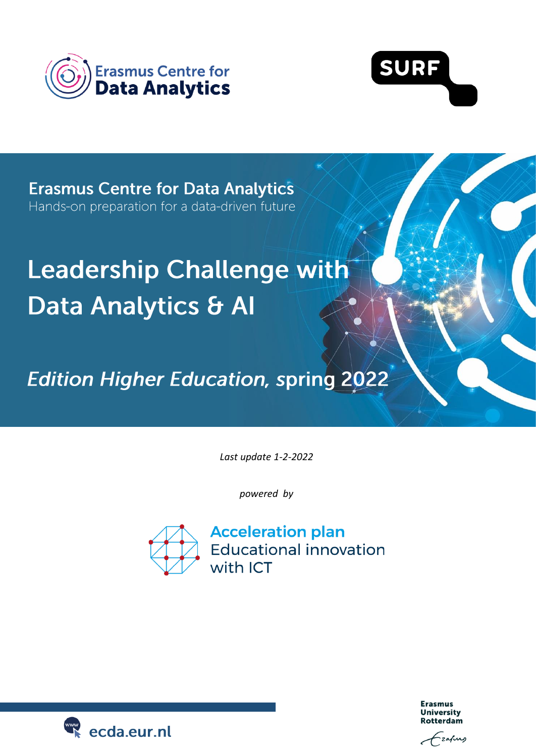



**Erasmus Centre for Data Analytics** Hands-on preparation for a data-driven future

# **Leadership Challenge with** Data Analytics & Al

# **Edition Higher Education, spring 2022**

*Last update 1-2-2022*

*powered by*



**Acceleration plan Educational innovation** with ICT



**Erasmus University** Rotterdam

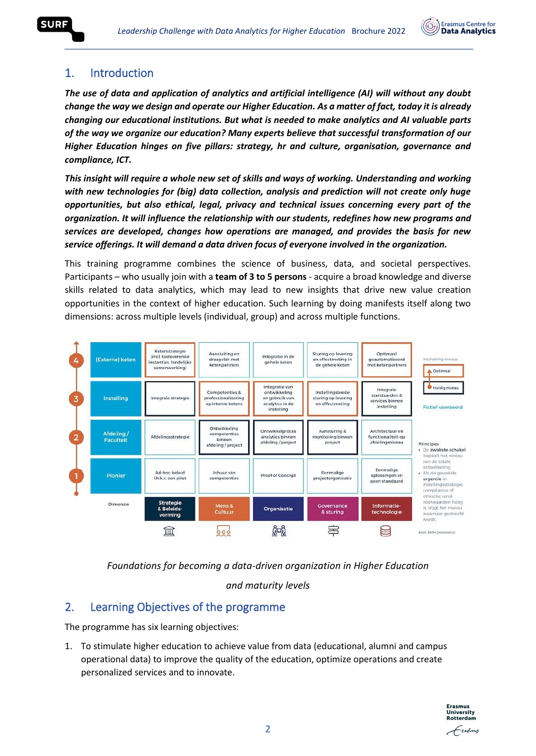

### 1. Introduction

*The use of data and application of analytics and artificial intelligence (AI) will without any doubt change the way we design and operate our Higher Education. As a matter of fact, today it is already changing our educational institutions. But what is needed to make analytics and AI valuable parts of the way we organize our education? Many experts believe that successful transformation of our Higher Education hinges on five pillars: strategy, hr and culture, organisation, governance and compliance, ICT.*

*This insight will require a whole new set of skills and ways of working. Understanding and working with new technologies for (big) data collection, analysis and prediction will not create only huge opportunities, but also ethical, legal, privacy and technical issues concerning every part of the organization. It will influence the relationship with our students, redefines how new programs and services are developed, changes how operations are managed, and provides the basis for new service offerings. It will demand a data driven focus of everyone involved in the organization.*

This training programme combines the science of business, data, and societal perspectives. Participants – who usually join with a **team of 3 to 5 persons** - acquire a broad knowledge and diverse skills related to data analytics, which may lead to new insights that drive new value creation opportunities in the context of higher education. Such learning by doing manifests itself along two dimensions: across multiple levels (individual, group) and across multiple functions.



*Foundations for becoming a data-driven organization in Higher Education* 

*and maturity levels*

### 2. Learning Objectives of the programme

The programme has six learning objectives:

1. To stimulate higher education to achieve value from data (educational, alumni and campus operational data) to improve the quality of the education, optimize operations and create personalized services and to innovate.

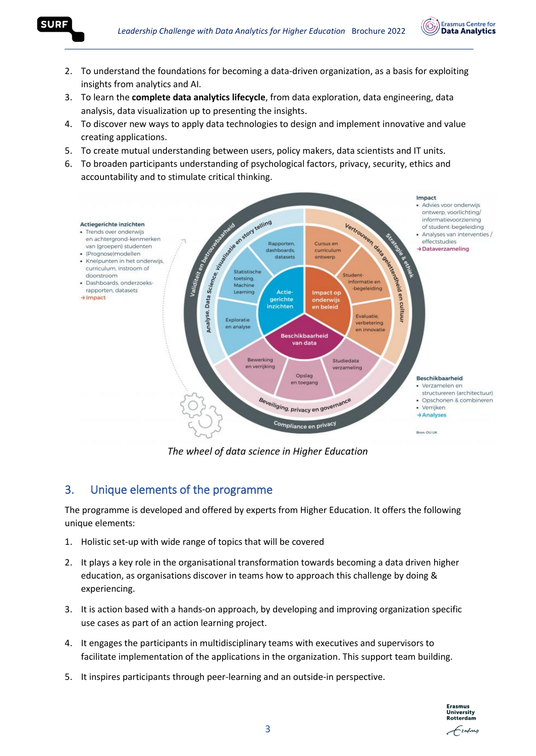



- 2. To understand the foundations for becoming a data-driven organization, as a basis for exploiting insights from analytics and AI.
- 3. To learn the **complete data analytics lifecycle**, from data exploration, data engineering, data analysis, data visualization up to presenting the insights.
- 4. To discover new ways to apply data technologies to design and implement innovative and value creating applications.
- 5. To create mutual understanding between users, policy makers, data scientists and IT units.
- 6. To broaden participants understanding of psychological factors, privacy, security, ethics and accountability and to stimulate critical thinking.



*The wheel of data science in Higher Education*

### 3. Unique elements of the programme

The programme is developed and offered by experts from Higher Education. It offers the following unique elements:

- 1. Holistic set-up with wide range of topics that will be covered
- 2. It plays a key role in the organisational transformation towards becoming a data driven higher education, as organisations discover in teams how to approach this challenge by doing & experiencing.
- 3. It is action based with a hands-on approach, by developing and improving organization specific use cases as part of an action learning project.
- 4. It engages the participants in multidisciplinary teams with executives and supervisors to facilitate implementation of the applications in the organization. This support team building.
- 5. It inspires participants through peer-learning and an outside-in perspective.

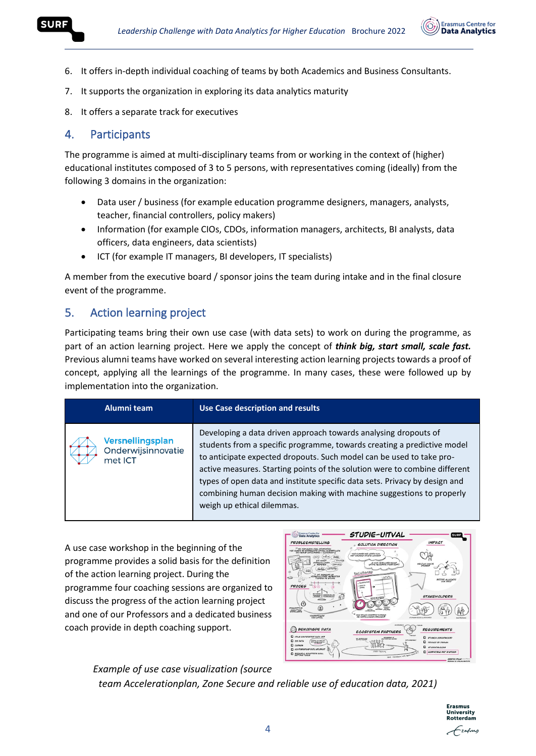

- 6. It offers in-depth individual coaching of teams by both Academics and Business Consultants.
- 7. It supports the organization in exploring its data analytics maturity
- 8. It offers a separate track for executives

#### 4. Participants

The programme is aimed at multi-disciplinary teams from or working in the context of (higher) educational institutes composed of 3 to 5 persons, with representatives coming (ideally) from the following 3 domains in the organization:

- Data user / business (for example education programme designers, managers, analysts, teacher, financial controllers, policy makers)
- Information (for example CIOs, CDOs, information managers, architects, BI analysts, data officers, data engineers, data scientists)
- ICT (for example IT managers, BI developers, IT specialists)

A member from the executive board / sponsor joins the team during intake and in the final closure event of the programme.

### 5. Action learning project

Participating teams bring their own use case (with data sets) to work on during the programme, as part of an action learning project. Here we apply the concept of *think big, start small, scale fast.* Previous alumni teams have worked on several interesting action learning projects towards a proof of concept, applying all the learnings of the programme. In many cases, these were followed up by implementation into the organization.

| Alumni team                                              | <b>Use Case description and results</b>                                                                                                                                                                                                                                                                                                                                                                                                                                              |
|----------------------------------------------------------|--------------------------------------------------------------------------------------------------------------------------------------------------------------------------------------------------------------------------------------------------------------------------------------------------------------------------------------------------------------------------------------------------------------------------------------------------------------------------------------|
| <b>Versnellingsplan</b><br>Onderwijsinnovatie<br>met ICT | Developing a data driven approach towards analysing dropouts of<br>students from a specific programme, towards creating a predictive model<br>to anticipate expected dropouts. Such model can be used to take pro-<br>active measures. Starting points of the solution were to combine different<br>types of open data and institute specific data sets. Privacy by design and<br>combining human decision making with machine suggestions to properly<br>weigh up ethical dilemmas. |

A use case workshop in the beginning of the programme provides a solid basis for the definition of the action learning project. During the programme four coaching sessions are organized to discuss the progress of the action learning project and one of our Professors and a dedicated business coach provide in depth coaching support.



*Example of use case visualization (source team Accelerationplan, Zone Secure and reliable use of education data, 2021)*

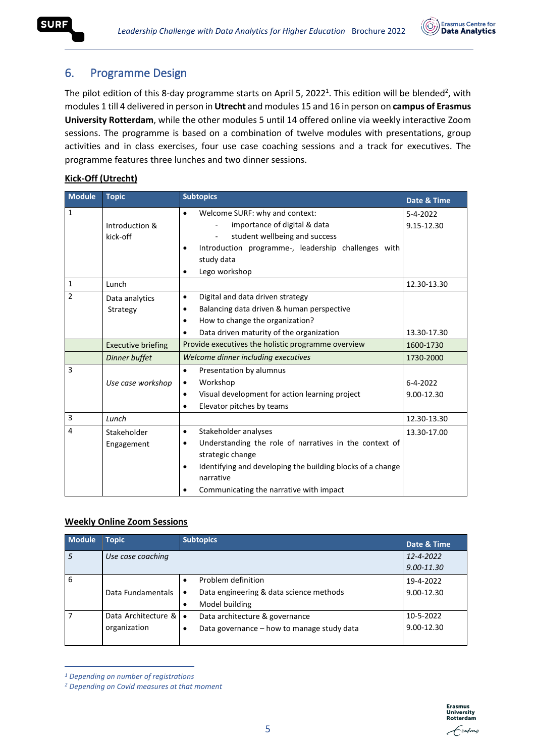



#### 6. Programme Design

The pilot edition of this 8-day programme starts on April 5, 2022<sup>1</sup>. This edition will be blended<sup>2</sup>, with modules 1 till 4 delivered in person in **Utrecht** and modules 15 and 16 in person on **campus of Erasmus University Rotterdam**, while the other modules 5 until 14 offered online via weekly interactive Zoom sessions. The programme is based on a combination of twelve modules with presentations, group activities and in class exercises, four use case coaching sessions and a track for executives. The programme features three lunches and two dinner sessions.

#### **Kick-Off (Utrecht)**

| <b>Module</b>  | <b>Topic</b>              | <b>Subtopics</b>                                                                     | Date & Time    |
|----------------|---------------------------|--------------------------------------------------------------------------------------|----------------|
| $\mathbf{1}$   |                           | Welcome SURF: why and context:<br>$\bullet$                                          | $5 - 4 - 2022$ |
|                | Introduction &            | importance of digital & data                                                         | 9.15-12.30     |
|                | kick-off                  | student wellbeing and success                                                        |                |
|                |                           | Introduction programme-, leadership challenges with                                  |                |
|                |                           | study data                                                                           |                |
|                |                           | Lego workshop                                                                        |                |
| $\mathbf{1}$   | Lunch                     |                                                                                      | 12.30-13.30    |
| $\overline{2}$ | Data analytics            | Digital and data driven strategy<br>$\bullet$                                        |                |
|                | Strategy                  | Balancing data driven & human perspective                                            |                |
|                |                           | How to change the organization?                                                      |                |
|                |                           | Data driven maturity of the organization                                             | 13.30-17.30    |
|                | <b>Executive briefing</b> | Provide executives the holistic programme overview                                   | 1600-1730      |
|                | Dinner buffet             | Welcome dinner including executives                                                  | 1730-2000      |
| 3              |                           | Presentation by alumnus<br>$\bullet$                                                 |                |
|                | Use case workshop         | Workshop<br>٠                                                                        | $6 - 4 - 2022$ |
|                |                           | Visual development for action learning project<br>$\bullet$                          | 9.00-12.30     |
|                |                           | Elevator pitches by teams<br>٠                                                       |                |
| 3              | Lunch                     |                                                                                      | 12.30-13.30    |
| 4              | Stakeholder               | Stakeholder analyses<br>٠                                                            | 13.30-17.00    |
|                | Engagement                | Understanding the role of narratives in the context of<br>٠                          |                |
|                |                           | strategic change                                                                     |                |
|                |                           | Identifying and developing the building blocks of a change<br>$\bullet$<br>narrative |                |
|                |                           | Communicating the narrative with impact                                              |                |

#### **Weekly Online Zoom Sessions**

| <b>Module</b>   | <b>Topic</b>        | <b>Subtopics</b>                                     | Date & Time    |
|-----------------|---------------------|------------------------------------------------------|----------------|
| $\overline{5}$  | Use case coaching   |                                                      | 12-4-2022      |
|                 |                     |                                                      | $9.00 - 11.30$ |
| $6\overline{6}$ |                     | Problem definition                                   | 19-4-2022      |
|                 | Data Fundamentals   | Data engineering & data science methods<br>$\bullet$ | 9.00-12.30     |
|                 |                     | Model building<br>٠                                  |                |
| $\overline{7}$  | Data Architecture & | Data architecture & governance<br>$\bullet$          | 10-5-2022      |
|                 | organization        | Data governance – how to manage study data<br>٠      | 9.00-12.30     |
|                 |                     |                                                      |                |

*<sup>1</sup> Depending on number of registrations*



*<sup>2</sup> Depending on Covid measures at that moment*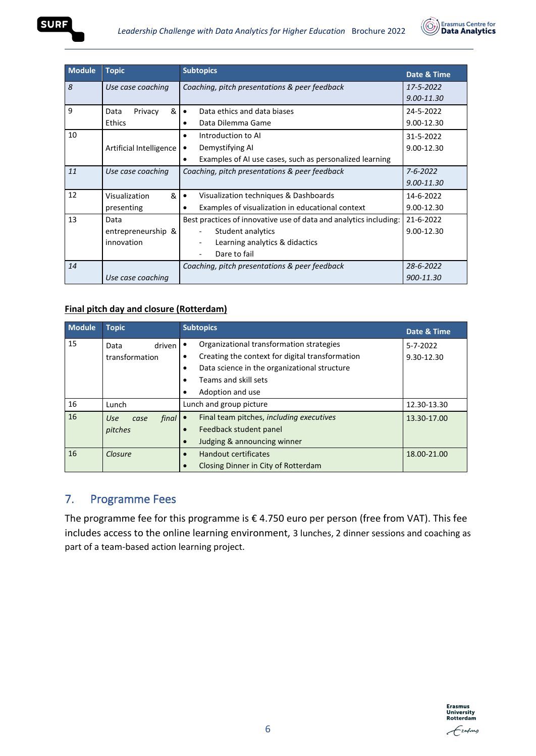



| <b>Module</b> | <b>Topic</b>            | <b>Subtopics</b>                                                  | <b>Date &amp; Time</b> |
|---------------|-------------------------|-------------------------------------------------------------------|------------------------|
| 8             | Use case coaching       | Coaching, pitch presentations & peer feedback                     | 17-5-2022              |
|               |                         |                                                                   | $9.00 - 11.30$         |
| 9             | &<br>Privacy<br>Data    | Data ethics and data biases<br>$\bullet$                          | 24-5-2022              |
|               | <b>Ethics</b>           | Data Dilemma Game<br>٠                                            | 9.00-12.30             |
| 10            |                         | Introduction to AI<br>٠                                           | 31-5-2022              |
|               | Artificial Intelligence | Demystifying AI<br>$\bullet$                                      | 9.00-12.30             |
|               |                         | Examples of AI use cases, such as personalized learning<br>٠      |                        |
| 11            | Use case coaching       | Coaching, pitch presentations & peer feedback                     | $7 - 6 - 2022$         |
|               |                         |                                                                   | $9.00 - 11.30$         |
| 12            | &<br>Visualization      | Visualization techniques & Dashboards<br>$\bullet$                | 14-6-2022              |
|               | presenting              | Examples of visualization in educational context<br>$\bullet$     | 9.00-12.30             |
| 13            | Data                    | Best practices of innovative use of data and analytics including: | 21-6-2022              |
|               | entrepreneurship &      | Student analytics<br>$\overline{\phantom{a}}$                     | 9.00-12.30             |
|               | innovation              | Learning analytics & didactics                                    |                        |
|               |                         | Dare to fail                                                      |                        |
| 14            |                         | Coaching, pitch presentations & peer feedback                     | 28-6-2022              |
|               | Use case coaching       |                                                                   | 900-11.30              |

#### **Final pitch day and closure (Rotterdam)**

| <b>Module</b> | <b>Topic</b>                   | <b>Subtopics</b>                                             | Date & Time    |
|---------------|--------------------------------|--------------------------------------------------------------|----------------|
| 15            | driven<br>Data                 | Organizational transformation strategies<br>$\bullet$        | $5 - 7 - 2022$ |
|               | transformation                 | Creating the context for digital transformation<br>$\bullet$ | 9.30-12.30     |
|               |                                | Data science in the organizational structure<br>$\bullet$    |                |
|               |                                | Teams and skill sets<br>٠                                    |                |
|               |                                | Adoption and use<br>٠                                        |                |
| 16            | Lunch                          | Lunch and group picture                                      | 12.30-13.30    |
| 16            | final $\bullet$<br>Use<br>case | Final team pitches, including executives                     | 13.30-17.00    |
|               | pitches                        | Feedback student panel                                       |                |
|               |                                | Judging & announcing winner<br>$\bullet$                     |                |
| 16            | Closure                        | <b>Handout certificates</b><br>$\bullet$                     | 18.00-21.00    |
|               |                                | Closing Dinner in City of Rotterdam                          |                |

# 7. Programme Fees

The programme fee for this programme is € 4.750 euro per person (free from VAT). This fee includes access to the online learning environment, 3 lunches, 2 dinner sessions and coaching as part of a team-based action learning project.